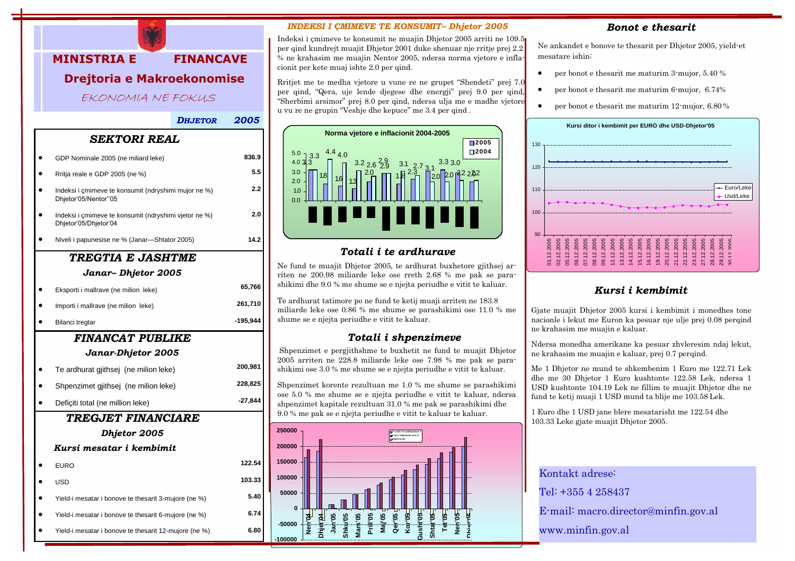

• Yield-i mesatar i bonove te thesarit 3-mujore (ne %)

**6.74 6.80**

- Yield-i mesatar i bonove te thesarit 6-mujore (ne %)
- Yield-i mesatar i bonove te thesarit 12-mujore (ne %)

#### *INDEKSI I ÇMIMEVE TE KONSUMIT– Dhjetor 2005*

Indeksi i çmimeve te konsumit ne muajin Dhjetor 2005 arriti ne 109.5 per qind kundrejt muajit Dhjetor 2001 duke shenuar nje rritje prej 2.2 % ne krahasim me muajin Nentor 2005, ndersa norma vjetore e inflacionit per kete muaj ishte 2.0 per qind.

Rritjet me te medha vjetore u vune re ne grupet "Shendeti" prej 7.0 per qind, "Qera, uje lende djegese dhe energji" prej 9.0 per qind, "Sherbimi arsimor" prej 8.0 per qind, ndersa ulja me e madhe vjetore u vu re ne grupin "Veshje dhe kepuce" me 3.4 per qind .



## *Totali i te ardhurave*

Ne fund te muajit Dhjetor 2005, te ardhurat buxhetore gjithsej arriten ne 200.98 miliarde leke ose rreth 2.68 % me pak se parashikimi dhe 9.0 % me shume se e njejta periudhe e vitit te kaluar.

Te ardhurat tatimore po ne fund te ketij muaji arriten ne 183.8 miliarde leke ose 0.86 % me shume se parashikimi ose 11.0 % me shume se e njejta periudhe e vitit te kaluar.

## *Totali i shpenzimeve*

Shpenzimet e pergjithshme te buxhetit ne fund te muajit Dhjetor 2005 arriten ne 228.8 miliarde leke ose 7.98 % me pak se parashikimi ose 3.0 % me shume se e njejta periudhe e vitit te kaluar.

Shpenzimet korente rezultuan me 1.0 % me shume se parashikimi ose 5.0 % me shume se e njejta periudhe e vitit te kaluar, ndersa shpenzimet kapitale rezultuan 31.0 % me pak se parashikimi dhe 9.0 % me pak se e njejta periudhe e vitit te kaluar te kaluar.



## *Bonot e thesarit*

Ne ankandet e bonove te thesarit per Dhjetor 2005, yield-et mesatare ishin:

- per bonot e thesarit me maturim 3-mujor, 5.40 %
- per bonot e thesarit me maturim 6-mujor, 6.74%
- per bonot e thesarit me maturim 12-mujor, 6.80 %



# *Kursi i kembimit*

Gjate muajit Dhjetor 2005 kursi i kembimit i monedhes tone nacionle i lekut me Euron ka pesuar nje ulje prej 0.08 perqind ne krahasim me muajin e kaluar.

Ndersa monedha amerikane ka pesuar zhvleresim ndaj lekut, ne krahasim me muajin e kaluar, prej 0.7 perqind.

Me 1 Dhjetor ne mund te shkembenim 1 Euro me 122.71 Lek dhe me 30 Dhjetor 1 Euro kushtonte 122.58 Lek, ndersa 1 USD kushtonte 104.19 Lek ne fillim te muajit Dhjetor dhe ne fund te ketij muaji 1 USD mund ta blije me 103.58 Lek.

1 Euro dhe 1 USD jane blere mesatarisht me 122.54 dhe 103.33 Leke gjate muajit Dhjetor 2005.

Kontakt adrese: Tel: +355 4 258437 E-mail: [macro.director@minfin.gov.al](mailto:macro.director@minfin.gov.al) [www.minfin.gov.al](http://www.minfin.gov.al/)